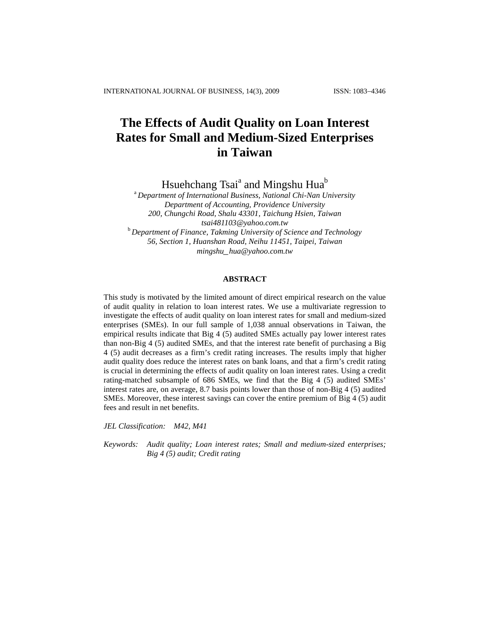# **The Effects of Audit Quality on Loan Interest Rates for Small and Medium-Sized Enterprises in Taiwan**

Hsuehchang Tsai<sup>a</sup> and Mingshu Hua<sup>b</sup>

<sup>a</sup> *Department of International Business, National Chi-Nan University Department of Accounting, Providence University 200, Chungchi Road, Shalu 43301, Taichung Hsien, Taiwan tsai481103@yahoo.com.tw* <sup>b</sup> *Department of Finance, Takming University of Science and Technology 56, Section 1, Huanshan Road, Neihu 11451, Taipei, Taiwan mingshu\_hua@yahoo.com.tw*

## **ABSTRACT**

This study is motivated by the limited amount of direct empirical research on the value of audit quality in relation to loan interest rates. We use a multivariate regression to investigate the effects of audit quality on loan interest rates for small and medium-sized enterprises (SMEs). In our full sample of 1,038 annual observations in Taiwan, the empirical results indicate that Big 4 (5) audited SMEs actually pay lower interest rates than non-Big 4 (5) audited SMEs, and that the interest rate benefit of purchasing a Big 4 (5) audit decreases as a firm's credit rating increases. The results imply that higher audit quality does reduce the interest rates on bank loans, and that a firm's credit rating is crucial in determining the effects of audit quality on loan interest rates. Using a credit rating-matched subsample of 686 SMEs, we find that the Big 4 (5) audited SMEs' interest rates are, on average, 8.7 basis points lower than those of non-Big 4 (5) audited SMEs. Moreover, these interest savings can cover the entire premium of Big 4 (5) audit fees and result in net benefits.

*JEL Classification: M42, M41*

*Keywords: Audit quality; Loan interest rates; Small and medium-sized enterprises; Big 4 (5) audit; Credit rating*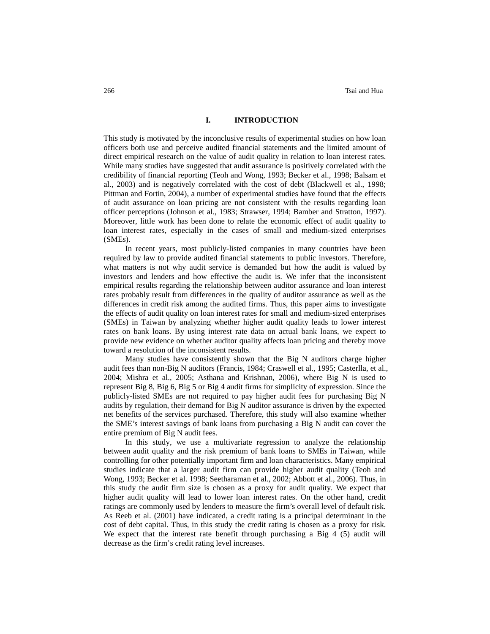## **I. INTRODUCTION**

This study is motivated by the inconclusive results of experimental studies on how loan officers both use and perceive audited financial statements and the limited amount of direct empirical research on the value of audit quality in relation to loan interest rates. While many studies have suggested that audit assurance is positively correlated with the credibility of financial reporting (Teoh and Wong, 1993; Becker et al., 1998; Balsam et al., 2003) and is negatively correlated with the cost of debt (Blackwell et al., 1998; Pittman and Fortin, 2004), a number of experimental studies have found that the effects of audit assurance on loan pricing are not consistent with the results regarding loan officer perceptions (Johnson et al., 1983; Strawser, 1994; Bamber and Stratton, 1997). Moreover, little work has been done to relate the economic effect of audit quality to loan interest rates, especially in the cases of small and medium-sized enterprises (SMEs).

In recent years, most publicly-listed companies in many countries have been required by law to provide audited financial statements to public investors. Therefore, what matters is not why audit service is demanded but how the audit is valued by investors and lenders and how effective the audit is. We infer that the inconsistent empirical results regarding the relationship between auditor assurance and loan interest rates probably result from differences in the quality of auditor assurance as well as the differences in credit risk among the audited firms. Thus, this paper aims to investigate the effects of audit quality on loan interest rates for small and medium-sized enterprises (SMEs) in Taiwan by analyzing whether higher audit quality leads to lower interest rates on bank loans. By using interest rate data on actual bank loans, we expect to provide new evidence on whether auditor quality affects loan pricing and thereby move toward a resolution of the inconsistent results.

Many studies have consistently shown that the Big N auditors charge higher audit fees than non-Big N auditors (Francis, 1984; Craswell et al., 1995; Casterlla, et al., 2004; Mishra et al., 2005; Asthana and Krishnan, 2006), where Big N is used to represent Big 8, Big 6, Big 5 or Big 4 audit firms for simplicity of expression. Since the publicly-listed SMEs are not required to pay higher audit fees for purchasing Big N audits by regulation, their demand for Big N auditor assurance is driven by the expected net benefits of the services purchased. Therefore, this study will also examine whether the SME's interest savings of bank loans from purchasing a Big N audit can cover the entire premium of Big N audit fees.

In this study, we use a multivariate regression to analyze the relationship between audit quality and the risk premium of bank loans to SMEs in Taiwan, while controlling for other potentially important firm and loan characteristics. Many empirical studies indicate that a larger audit firm can provide higher audit quality (Teoh and Wong, 1993; Becker et al. 1998; Seetharaman et al., 2002; Abbott et al., 2006). Thus, in this study the audit firm size is chosen as a proxy for audit quality. We expect that higher audit quality will lead to lower loan interest rates. On the other hand, credit ratings are commonly used by lenders to measure the firm's overall level of default risk. As Reeb et al. (2001) have indicated, a credit rating is a principal determinant in the cost of debt capital. Thus, in this study the credit rating is chosen as a proxy for risk. We expect that the interest rate benefit through purchasing a Big 4 (5) audit will decrease as the firm's credit rating level increases.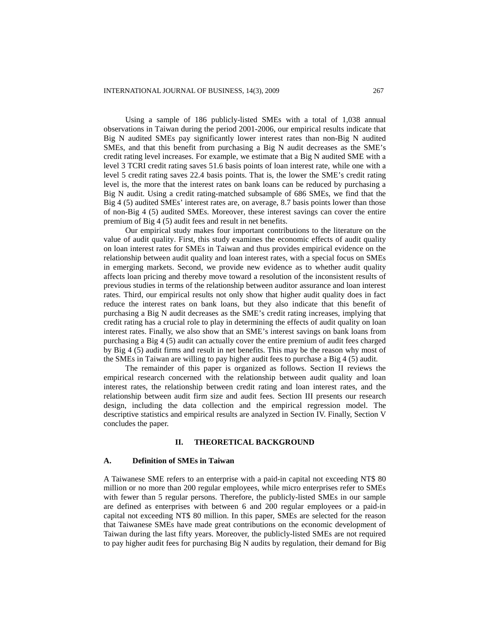Using a sample of 186 publicly-listed SMEs with a total of 1,038 annual observations in Taiwan during the period 2001-2006, our empirical results indicate that Big N audited SMEs pay significantly lower interest rates than non-Big N audited SMEs, and that this benefit from purchasing a Big N audit decreases as the SME's credit rating level increases. For example, we estimate that a Big N audited SME with a level 3 TCRI credit rating saves 51.6 basis points of loan interest rate, while one with a level 5 credit rating saves 22.4 basis points. That is, the lower the SME's credit rating level is, the more that the interest rates on bank loans can be reduced by purchasing a Big N audit. Using a credit rating-matched subsample of 686 SMEs, we find that the Big 4 (5) audited SMEs' interest rates are, on average, 8.7 basis points lower than those of non-Big 4 (5) audited SMEs. Moreover, these interest savings can cover the entire premium of Big 4 (5) audit fees and result in net benefits.

Our empirical study makes four important contributions to the literature on the value of audit quality. First, this study examines the economic effects of audit quality on loan interest rates for SMEs in Taiwan and thus provides empirical evidence on the relationship between audit quality and loan interest rates, with a special focus on SMEs in emerging markets. Second, we provide new evidence as to whether audit quality affects loan pricing and thereby move toward a resolution of the inconsistent results of previous studies in terms of the relationship between auditor assurance and loan interest rates. Third, our empirical results not only show that higher audit quality does in fact reduce the interest rates on bank loans, but they also indicate that this benefit of purchasing a Big N audit decreases as the SME's credit rating increases, implying that credit rating has a crucial role to play in determining the effects of audit quality on loan interest rates. Finally, we also show that an SME's interest savings on bank loans from purchasing a Big 4 (5) audit can actually cover the entire premium of audit fees charged by Big 4 (5) audit firms and result in net benefits. This may be the reason why most of the SMEs in Taiwan are willing to pay higher audit fees to purchase a Big 4 (5) audit.

The remainder of this paper is organized as follows. Section II reviews the empirical research concerned with the relationship between audit quality and loan interest rates, the relationship between credit rating and loan interest rates, and the relationship between audit firm size and audit fees. Section III presents our research design, including the data collection and the empirical regression model. The descriptive statistics and empirical results are analyzed in Section IV. Finally, Section V concludes the paper.

## **II. THEORETICAL BACKGROUND**

## **A. Definition of SMEs in Taiwan**

A Taiwanese SME refers to an enterprise with a paid-in capital not exceeding NT\$ 80 million or no more than 200 regular employees, while micro enterprises refer to SMEs with fewer than 5 regular persons. Therefore, the publicly-listed SMEs in our sample are defined as enterprises with between 6 and 200 regular employees or a paid-in capital not exceeding NT\$ 80 million. In this paper, SMEs are selected for the reason that Taiwanese SMEs have made great contributions on the economic development of Taiwan during the last fifty years. Moreover, the publicly-listed SMEs are not required to pay higher audit fees for purchasing Big N audits by regulation, their demand for Big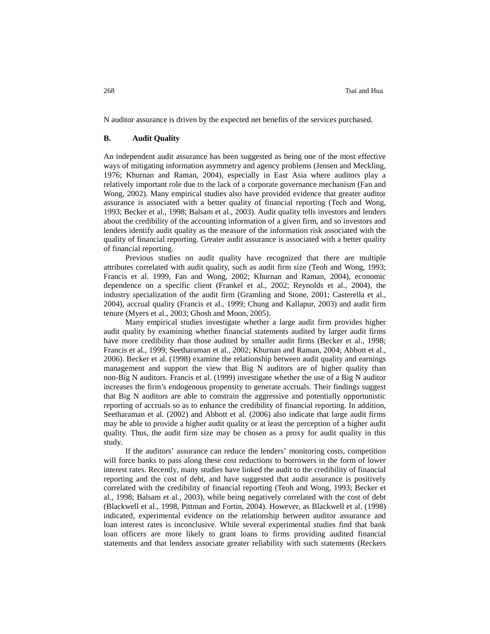N auditor assurance is driven by the expected net benefits of the services purchased.

## **B. Audit Quality**

An independent audit assurance has been suggested as being one of the most effective ways of mitigating information asymmetry and agency problems (Jensen and Meckling, 1976; Khurnan and Raman, 2004), especially in East Asia where auditors play a relatively important role due to the lack of a corporate governance mechanism (Fan and Wong, 2002). Many empirical studies also have provided evidence that greater auditor assurance is associated with a better quality of financial reporting (Tech and Wong, 1993; Becker et al., 1998; Balsam et al., 2003). Audit quality tells investors and lenders about the credibility of the accounting information of a given firm, and so investors and lenders identify audit quality as the measure of the information risk associated with the quality of financial reporting. Greater audit assurance is associated with a better quality of financial reporting.

Previous studies on audit quality have recognized that there are multiple attributes correlated with audit quality, such as audit firm size (Teoh and Wong, 1993; Francis et al. 1999, Fan and Wong, 2002; Khurnan and Raman, 2004), economic dependence on a specific client (Frankel et al., 2002; Reynolds et al., 2004), the industry specialization of the audit firm (Gramling and Stone, 2001; Casterella et al., 2004), accrual quality (Francis et al., 1999; Chung and Kallapur, 2003) and audit firm tenure (Myers et al., 2003; Ghosh and Moon, 2005).

Many empirical studies investigate whether a large audit firm provides higher audit quality by examining whether financial statements audited by larger audit firms have more credibility than those audited by smaller audit firms (Becker et al., 1998; Francis et al., 1999; Seetharaman et al., 2002; Khurnan and Raman, 2004; Abbott et al., 2006). Becker et al. (1998) examine the relationship between audit quality and earnings management and support the view that Big N auditors are of higher quality than non-Big N auditors. Francis et al. (1999) investigate whether the use of a Big N auditor increases the firm's endogenous propensity to generate accruals. Their findings suggest that Big N auditors are able to constrain the aggressive and potentially opportunistic reporting of accruals so as to enhance the credibility of financial reporting. In addition, Seetharaman et al. (2002) and Abbott et al. (2006) also indicate that large audit firms may be able to provide a higher audit quality or at least the perception of a higher audit quality. Thus, the audit firm size may be chosen as a proxy for audit quality in this study.

If the auditors' assurance can reduce the lenders' monitoring costs, competition will force banks to pass along these cost reductions to borrowers in the form of lower interest rates. Recently, many studies have linked the audit to the credibility of financial reporting and the cost of debt, and have suggested that audit assurance is positively correlated with the credibility of financial reporting (Teoh and Wong, 1993; Becker et al., 1998; Balsam et al., 2003), while being negatively correlated with the cost of debt (Blackwell et al., 1998, Pittman and Fortin, 2004). However, as Blackwell et al. (1998) indicated, experimental evidence on the relationship between auditor assurance and loan interest rates is inconclusive. While several experimental studies find that bank loan officers are more likely to grant loans to firms providing audited financial statements and that lenders associate greater reliability with such statements (Reckers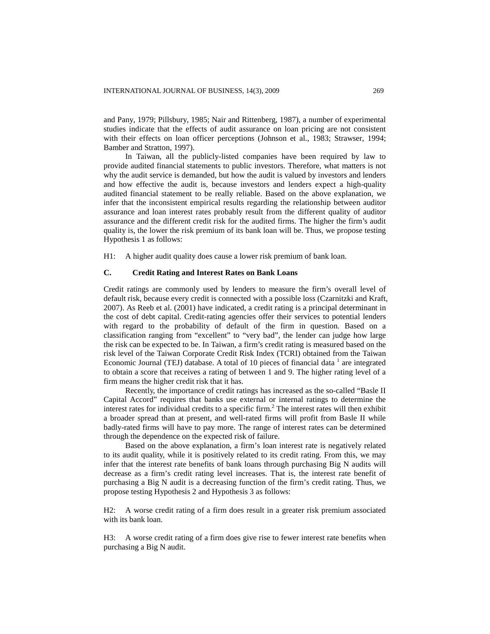and Pany, 1979; Pillsbury, 1985; Nair and Rittenberg, 1987), a number of experimental studies indicate that the effects of audit assurance on loan pricing are not consistent with their effects on loan officer perceptions (Johnson et al., 1983; Strawser, 1994; Bamber and Stratton, 1997).

In Taiwan, all the publicly-listed companies have been required by law to provide audited financial statements to public investors. Therefore, what matters is not why the audit service is demanded, but how the audit is valued by investors and lenders and how effective the audit is, because investors and lenders expect a high-quality audited financial statement to be really reliable. Based on the above explanation, we infer that the inconsistent empirical results regarding the relationship between auditor assurance and loan interest rates probably result from the different quality of auditor assurance and the different credit risk for the audited firms. The higher the firm's audit quality is, the lower the risk premium of its bank loan will be. Thus, we propose testing Hypothesis 1 as follows:

H1: A higher audit quality does cause a lower risk premium of bank loan.

## **C. Credit Rating and Interest Rates on Bank Loans**

Credit ratings are commonly used by lenders to measure the firm's overall level of default risk, because every credit is connected with a possible loss (Czarnitzki and Kraft, 2007). As Reeb et al. (2001) have indicated, a credit rating is a principal determinant in the cost of debt capital. Credit-rating agencies offer their services to potential lenders with regard to the probability of default of the firm in question. Based on a classification ranging from "excellent" to "very bad", the lender can judge how large the risk can be expected to be. In Taiwan, a firm's credit rating is measured based on the risk level of the Taiwan Corporate Credit Risk Index (TCRI) obtained from the Taiwan Economic Journal (TEJ) database. A total of 10 pieces of financial data  $1$  are integrated to obtain a score that receives a rating of between 1 and 9. The higher rating level of a firm means the higher credit risk that it has.

Recently, the importance of credit ratings has increased as the so-called "Basle II Capital Accord" requires that banks use external or internal ratings to determine the interest rates for individual credits to a specific firm.<sup>2</sup> The interest rates will then exhibit a broader spread than at present, and well-rated firms will profit from Basle II while badly-rated firms will have to pay more. The range of interest rates can be determined through the dependence on the expected risk of failure.

Based on the above explanation, a firm's loan interest rate is negatively related to its audit quality, while it is positively related to its credit rating. From this, we may infer that the interest rate benefits of bank loans through purchasing Big N audits will decrease as a firm's credit rating level increases. That is, the interest rate benefit of purchasing a Big N audit is a decreasing function of the firm's credit rating. Thus, we propose testing Hypothesis 2 and Hypothesis 3 as follows:

H2: A worse credit rating of a firm does result in a greater risk premium associated with its bank loan.

H3: A worse credit rating of a firm does give rise to fewer interest rate benefits when purchasing a Big N audit.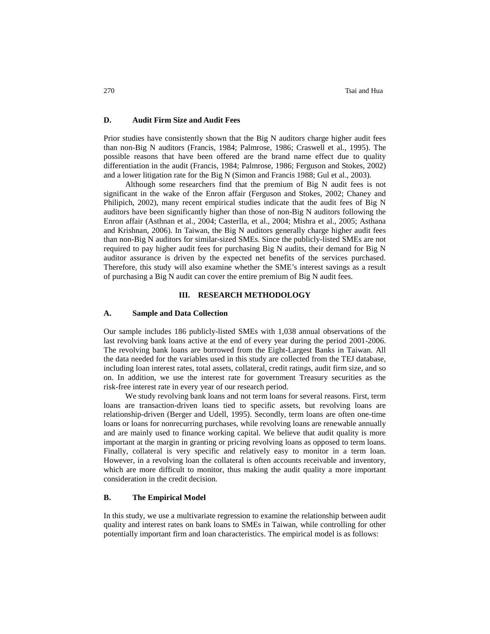## **D. Audit Firm Size and Audit Fees**

Prior studies have consistently shown that the Big N auditors charge higher audit fees than non-Big N auditors (Francis, 1984; Palmrose, 1986; Craswell et al., 1995). The possible reasons that have been offered are the brand name effect due to quality differentiation in the audit (Francis, 1984; Palmrose, 1986; Ferguson and Stokes, 2002) and a lower litigation rate for the Big N (Simon and Francis 1988; Gul et al., 2003).

Although some researchers find that the premium of Big N audit fees is not significant in the wake of the Enron affair (Ferguson and Stokes, 2002; Chaney and Philipich, 2002), many recent empirical studies indicate that the audit fees of Big N auditors have been significantly higher than those of non-Big N auditors following the Enron affair (Asthnan et al., 2004; Casterlla, et al., 2004; Mishra et al., 2005; Asthana and Krishnan, 2006). In Taiwan, the Big N auditors generally charge higher audit fees than non-Big N auditors for similar-sized SMEs. Since the publicly-listed SMEs are not required to pay higher audit fees for purchasing Big N audits, their demand for Big N auditor assurance is driven by the expected net benefits of the services purchased. Therefore, this study will also examine whether the SME's interest savings as a result of purchasing a Big N audit can cover the entire premium of Big N audit fees.

## **III. RESEARCH METHODOLOGY**

#### **A. Sample and Data Collection**

Our sample includes 186 publicly-listed SMEs with 1,038 annual observations of the last revolving bank loans active at the end of every year during the period 2001-2006. The revolving bank loans are borrowed from the Eight-Largest Banks in Taiwan. All the data needed for the variables used in this study are collected from the TEJ database, including loan interest rates, total assets, collateral, credit ratings, audit firm size, and so on. In addition, we use the interest rate for government Treasury securities as the risk-free interest rate in every year of our research period.

We study revolving bank loans and not term loans for several reasons. First, term loans are transaction-driven loans tied to specific assets, but revolving loans are relationship-driven (Berger and Udell, 1995). Secondly, term loans are often one-time loans or loans for nonrecurring purchases, while revolving loans are renewable annually and are mainly used to finance working capital. We believe that audit quality is more important at the margin in granting or pricing revolving loans as opposed to term loans. Finally, collateral is very specific and relatively easy to monitor in a term loan. However, in a revolving loan the collateral is often accounts receivable and inventory, which are more difficult to monitor, thus making the audit quality a more important consideration in the credit decision.

# **B. The Empirical Model**

In this study, we use a multivariate regression to examine the relationship between audit quality and interest rates on bank loans to SMEs in Taiwan, while controlling for other potentially important firm and loan characteristics. The empirical model is as follows: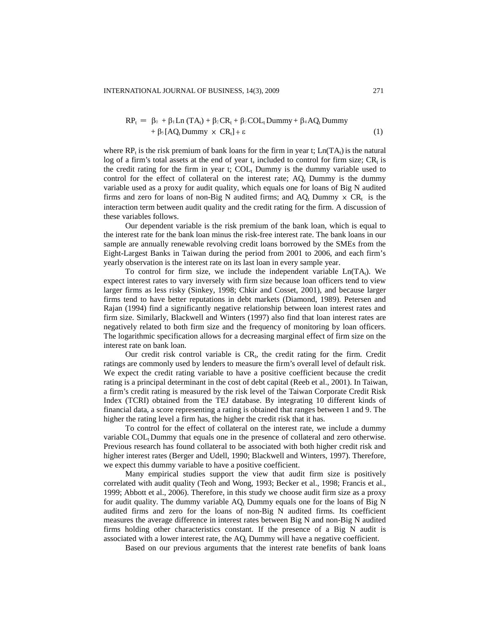$$
RP_{t} = \beta_{0} + \beta_{1}Ln (TA_{t}) + \beta_{2}CR_{t} + \beta_{3}COL_{t} Dummy + \beta_{4}AQ_{t} Dummy + \beta_{5}[AQ_{t} Dummy \times CR_{t}] + \epsilon
$$
\n(1)

where  $RP_t$  is the risk premium of bank loans for the firm in year t;  $Ln(TA_t)$  is the natural log of a firm's total assets at the end of year t, included to control for firm size;  $CR<sub>t</sub>$  is the credit rating for the firm in year t;  $COL<sub>t</sub>$  Dummy is the dummy variable used to control for the effect of collateral on the interest rate;  $AQ_t$  Dummy is the dummy variable used as a proxy for audit quality, which equals one for loans of Big N audited firms and zero for loans of non-Big N audited firms; and  $AQ_t$  Dummy  $\times CR_t$  is the interaction term between audit quality and the credit rating for the firm. A discussion of these variables follows.

Our dependent variable is the risk premium of the bank loan, which is equal to the interest rate for the bank loan minus the risk-free interest rate. The bank loans in our sample are annually renewable revolving credit loans borrowed by the SMEs from the Eight-Largest Banks in Taiwan during the period from 2001 to 2006, and each firm's yearly observation is the interest rate on its last loan in every sample year.

To control for firm size, we include the independent variable  $Ln(TA_t)$ . We expect interest rates to vary inversely with firm size because loan officers tend to view larger firms as less risky (Sinkey, 1998; Chkir and Cosset, 2001), and because larger firms tend to have better reputations in debt markets (Diamond, 1989). Petersen and Rajan (1994) find a significantly negative relationship between loan interest rates and firm size. Similarly, Blackwell and Winters (1997) also find that loan interest rates are negatively related to both firm size and the frequency of monitoring by loan officers. The logarithmic specification allows for a decreasing marginal effect of firm size on the interest rate on bank loan.

Our credit risk control variable is  $CR_t$ , the credit rating for the firm. Credit ratings are commonly used by lenders to measure the firm's overall level of default risk. We expect the credit rating variable to have a positive coefficient because the credit rating is a principal determinant in the cost of debt capital (Reeb et al., 2001). In Taiwan, a firm's credit rating is measured by the risk level of the Taiwan Corporate Credit Risk Index (TCRI) obtained from the TEJ database. By integrating 10 different kinds of financial data, a score representing a rating is obtained that ranges between 1 and 9. The higher the rating level a firm has, the higher the credit risk that it has.

To control for the effect of collateral on the interest rate, we include a dummy variable COL. Dummy that equals one in the presence of collateral and zero otherwise. Previous research has found collateral to be associated with both higher credit risk and higher interest rates (Berger and Udell, 1990; Blackwell and Winters, 1997). Therefore, we expect this dummy variable to have a positive coefficient.

Many empirical studies support the view that audit firm size is positively correlated with audit quality (Teoh and Wong, 1993; Becker et al., 1998; Francis et al., 1999; Abbott et al., 2006). Therefore, in this study we choose audit firm size as a proxy for audit quality. The dummy variable  $AQ_t$  Dummy equals one for the loans of Big N audited firms and zero for the loans of non-Big N audited firms. Its coefficient measures the average difference in interest rates between Big N and non-Big N audited firms holding other characteristics constant. If the presence of a Big N audit is associated with a lower interest rate, the  $AO_t$  Dummy will have a negative coefficient.

Based on our previous arguments that the interest rate benefits of bank loans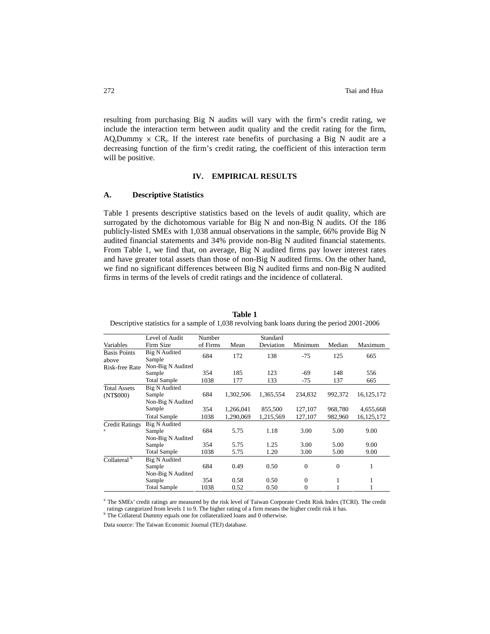resulting from purchasing Big N audits will vary with the firm's credit rating, we include the interaction term between audit quality and the credit rating for the firm,  $AQ_t$ Dummy  $\times$  CR<sub>t</sub>. If the interest rate benefits of purchasing a Big N audit are a decreasing function of the firm's credit rating, the coefficient of this interaction term will be positive.

# **IV. EMPIRICAL RESULTS**

### **A. Descriptive Statistics**

Table 1 presents descriptive statistics based on the levels of audit quality, which are surrogated by the dichotomous variable for Big N and non-Big N audits. Of the 186 publicly-listed SMEs with 1,038 annual observations in the sample, 66% provide Big N audited financial statements and 34% provide non-Big N audited financial statements. From Table 1, we find that, on average, Big N audited firms pay lower interest rates and have greater total assets than those of non-Big N audited firms. On the other hand, we find no significant differences between Big N audited firms and non-Big N audited firms in terms of the levels of credit ratings and the incidence of collateral.

|                         | Level of Audit       | Number   |           | Standard  |                |              |              |
|-------------------------|----------------------|----------|-----------|-----------|----------------|--------------|--------------|
| Variables               | Firm Size            | of Firms | Mean      | Deviation | Minimum        | Median       | Maximum      |
| <b>Basis Points</b>     | <b>Big N Audited</b> | 684      | 172       | 138       | $-75$          | 125          | 665          |
| above                   | Sample               |          |           |           |                |              |              |
| <b>Risk-free Rate</b>   | Non-Big N Audited    |          |           |           |                |              |              |
|                         | Sample               | 354      | 185       | 123       | -69            | 148          | 556          |
|                         | <b>Total Sample</b>  | 1038     | 177       | 133       | $-75$          | 137          | 665          |
| <b>Total Assets</b>     | <b>Big N Audited</b> |          |           |           |                |              |              |
| (NT\$000)               | Sample               | 684      | 1,302,506 | 1,365,554 | 234,832        | 992,372      | 16, 125, 172 |
|                         | Non-Big N Audited    |          |           |           |                |              |              |
|                         | Sample               | 354      | 1,266,041 | 855,500   | 127,107        | 968,780      | 4,655,668    |
|                         | <b>Total Sample</b>  | 1038     | 1.290.069 | 1,215,569 | 127,107        | 982,960      | 16, 125, 172 |
| <b>Credit Ratings</b>   | <b>Big N Audited</b> |          |           |           |                |              |              |
| a                       | Sample               | 684      | 5.75      | 1.18      | 3.00           | 5.00         | 9.00         |
|                         | Non-Big N Audited    |          |           |           |                |              |              |
|                         | Sample               | 354      | 5.75      | 1.25      | 3.00           | 5.00         | 9.00         |
|                         | <b>Total Sample</b>  | 1038     | 5.75      | 1.20      | 3.00           | 5.00         | 9.00         |
| Collateral <sup>b</sup> | <b>Big N Audited</b> |          |           |           |                |              |              |
|                         | Sample               | 684      | 0.49      | 0.50      | $\mathbf{0}$   | $\mathbf{0}$ | 1            |
|                         | Non-Big N Audited    |          |           |           |                |              |              |
|                         | Sample               | 354      | 0.58      | 0.50      | $\mathbf{0}$   | 1            | 1            |
|                         | <b>Total Sample</b>  | 1038     | 0.52      | 0.50      | $\overline{0}$ |              |              |

**Table 1** Descriptive statistics for a sample of 1,038 revolving bank loans during the period 2001-2006

a The SMEs' credit ratings are measured by the risk level of Taiwan Corporate Credit Risk Index (TCRI). The credit ratings categorized from levels 1 to 9. The higher rating of a firm means the higher credit risk it has.

<sup>b</sup> The Collateral Dummy equals one for collateralized loans and 0 otherwise.

Data source: The Taiwan Economic Journal (TEJ) database.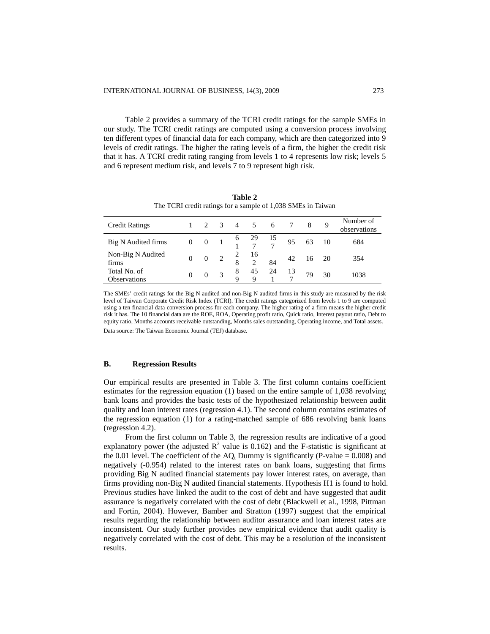Table 2 provides a summary of the TCRI credit ratings for the sample SMEs in our study. The TCRI credit ratings are computed using a conversion process involving ten different types of financial data for each company, which are then categorized into 9 levels of credit ratings. The higher the rating levels of a firm, the higher the credit risk that it has. A TCRI credit rating ranging from levels 1 to 4 represents low risk; levels 5 and 6 represent medium risk, and levels 7 to 9 represent high risk.

| <b>Credit Ratings</b>               |          |          | $\overline{3}$ | $\overline{4}$   | 5         | 6  |    |    | 9   | Number of<br>observations |
|-------------------------------------|----------|----------|----------------|------------------|-----------|----|----|----|-----|---------------------------|
| Big N Audited firms                 | $\bf{0}$ | $\theta$ | $\blacksquare$ | $\theta$         | 29 15     |    | 95 | 63 | -10 | 684                       |
| Non-Big N Audited<br>firms          | $\Omega$ | $\theta$ | 2              | 8                | - 16<br>2 | 84 | 42 | 16 | -20 | 354                       |
| Total No. of<br><b>Observations</b> |          |          |                | 8<br>$\mathbf Q$ | 45<br>Q   | 24 | 13 | 79 | 30  | 1038                      |

**Table 2** The TCRI credit ratings for a sample of 1,038 SMEs in Taiwan

The SMEs' credit ratings for the Big N audited and non-Big N audited firms in this study are measured by the risk level of Taiwan Corporate Credit Risk Index (TCRI). The credit ratings categorized from levels 1 to 9 are computed using a ten financial data conversion process for each company. The higher rating of a firm means the higher credit risk it has. The 10 financial data are the ROE, ROA, Operating profit ratio, Quick ratio, Interest payout ratio, Debt to equity ratio, Months accounts receivable outstanding, Months sales outstanding, Operating income, and Total assets. Data source: The Taiwan Economic Journal (TEJ) database.

## **B. Regression Results**

Our empirical results are presented in Table 3. The first column contains coefficient estimates for the regression equation (1) based on the entire sample of 1,038 revolving bank loans and provides the basic tests of the hypothesized relationship between audit quality and loan interest rates (regression 4.1). The second column contains estimates of the regression equation (1) for a rating-matched sample of 686 revolving bank loans (regression 4.2).

From the first column on Table 3, the regression results are indicative of a good explanatory power (the adjusted  $R^2$  value is 0.162) and the F-statistic is significant at the 0.01 level. The coefficient of the  $AQ_t$  Dummy is significantly (P-value = 0.008) and negatively (-0.954) related to the interest rates on bank loans, suggesting that firms providing Big N audited financial statements pay lower interest rates, on average, than firms providing non-Big N audited financial statements. Hypothesis H1 is found to hold. Previous studies have linked the audit to the cost of debt and have suggested that audit assurance is negatively correlated with the cost of debt (Blackwell et al., 1998, Pittman and Fortin, 2004). However, Bamber and Stratton (1997) suggest that the empirical results regarding the relationship between auditor assurance and loan interest rates are inconsistent. Our study further provides new empirical evidence that audit quality is negatively correlated with the cost of debt. This may be a resolution of the inconsistent results.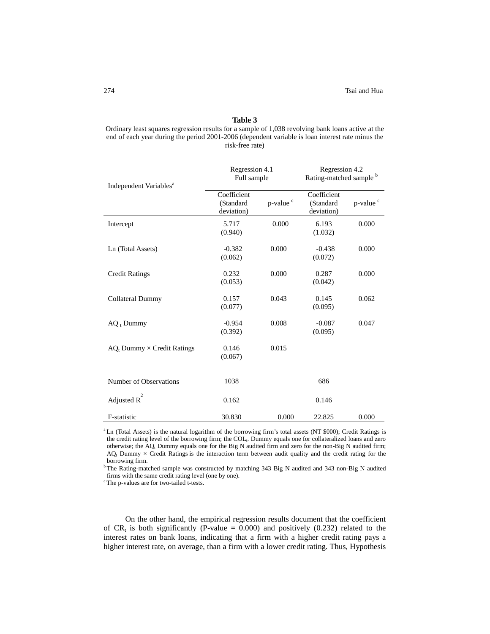#### **Table 3**

Ordinary least squares regression results for a sample of 1,038 revolving bank loans active at the end of each year during the period 2001-2006 (dependent variable is loan interest rate minus the risk-free rate)

| Independent Variables <sup>a</sup>   | Regression 4.1<br>Full sample          |                      | Regression 4.2<br>Rating-matched sample b |                      |  |
|--------------------------------------|----------------------------------------|----------------------|-------------------------------------------|----------------------|--|
|                                      | Coefficient<br>(Standard<br>deviation) | p-value <sup>c</sup> | Coefficient<br>(Standard<br>deviation)    | p-value <sup>c</sup> |  |
| Intercept                            | 5.717<br>(0.940)                       | 0.000                | 6.193<br>(1.032)                          | 0.000                |  |
| Ln (Total Assets)                    | $-0.382$<br>(0.062)                    | 0.000                | $-0.438$<br>(0.072)                       | 0.000                |  |
| <b>Credit Ratings</b>                | 0.232<br>(0.053)                       | 0.000                | 0.287<br>(0.042)                          | 0.000                |  |
| Collateral Dummy                     | 0.157<br>(0.077)                       | 0.043                | 0.145<br>(0.095)                          | 0.062                |  |
| $AQ_1$ Dummy                         | $-0.954$<br>(0.392)                    | 0.008                | $-0.087$<br>(0.095)                       | 0.047                |  |
| $AQ_t$ Dummy $\times$ Credit Ratings | 0.146<br>(0.067)                       | 0.015                |                                           |                      |  |
| Number of Observations               | 1038                                   |                      | 686                                       |                      |  |
| Adjusted R                           | 0.162                                  |                      | 0.146                                     |                      |  |
| F-statistic                          | 30.830                                 | 0.000                | 22.825                                    | 0.000                |  |

<sup>a</sup> Ln (Total Assets) is the natural logarithm of the borrowing firm's total assets (NT \$000); Credit Ratings is the credit rating level of the borrowing firm; the COL<sub>t</sub>. Dummy equals one for collateralized loans and zero otherwise; the  $AQ_t$  Dummy equals one for the Big N audited firm and zero for the non-Big N audited firm;  $AQ_t$  Dummy  $\times$  Credit Ratings is the interaction term between audit quality and the credit rating for the borrowing firm.

<sup>b</sup> The Rating-matched sample was constructed by matching 343 Big N audited and 343 non-Big N audited firms with the same credit rating level (one by one).

<sup>c</sup> The p-values are for two-tailed t-tests.

On the other hand, the empirical regression results document that the coefficient of  $CR_t$  is both significantly (P-value = 0.000) and positively (0.232) related to the interest rates on bank loans, indicating that a firm with a higher credit rating pays a higher interest rate, on average, than a firm with a lower credit rating. Thus, Hypothesis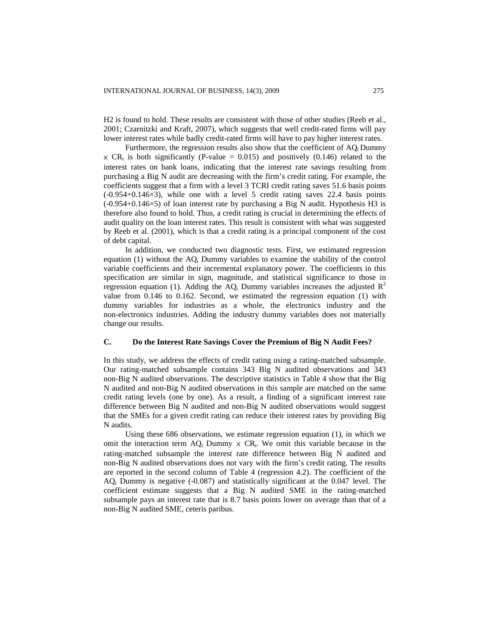H2 is found to hold. These results are consistent with those of other studies (Reeb et al., 2001; Czarnitzki and Kraft, 2007), which suggests that well credit-rated firms will pay lower interest rates while badly credit-rated firms will have to pay higher interest rates.

Furthermore, the regression results also show that the coefficient of  $AQ_t$  Dummy  $\times$  CR<sub>t</sub> is both significantly (P-value = 0.015) and positively (0.146) related to the interest rates on bank loans, indicating that the interest rate savings resulting from purchasing a Big N audit are decreasing with the firm's credit rating. For example, the coefficients suggest that a firm with a level 3 TCRI credit rating saves 51.6 basis points  $(-0.954+0.146\times3)$ , while one with a level 5 credit rating saves 22.4 basis points  $(-0.954+0.146\times5)$  of loan interest rate by purchasing a Big N audit. Hypothesis H3 is therefore also found to hold. Thus, a credit rating is crucial in determining the effects of audit quality on the loan interest rates. This result is consistent with what was suggested by Reeb et al. (2001), which is that a credit rating is a principal component of the cost of debt capital.

In addition, we conducted two diagnostic tests. First, we estimated regression equation (1) without the  $AQ_t$  Dummy variables to examine the stability of the control variable coefficients and their incremental explanatory power. The coefficients in this specification are similar in sign, magnitude, and statistical significance to those in regression equation (1). Adding the AQ<sub>t</sub> Dummy variables increases the adjusted  $R^2$ value from 0.146 to 0.162. Second, we estimated the regression equation (1) with dummy variables for industries as a whole, the electronics industry and the non-electronics industries. Adding the industry dummy variables does not materially change our results.

## **C. Do the Interest Rate Savings Cover the Premium of Big N Audit Fees?**

In this study, we address the effects of credit rating using a rating-matched subsample. Our rating-matched subsample contains 343 Big N audited observations and 343 non-Big N audited observations. The descriptive statistics in Table 4 show that the Big N audited and non-Big N audited observations in this sample are matched on the same credit rating levels (one by one). As a result, a finding of a significant interest rate difference between Big N audited and non-Big N audited observations would suggest that the SMEs for a given credit rating can reduce their interest rates by providing Big N audits.

Using these 686 observations, we estimate regression equation (1), in which we omit the interaction term  $AQ_t$  Dummy  $\times CR_t$ . We omit this variable because in the rating-matched subsample the interest rate difference between Big N audited and non-Big N audited observations does not vary with the firm's credit rating. The results are reported in the second column of Table 4 (regression 4.2). The coefficient of the  $AQ_t$  Dummy is negative (-0.087) and statistically significant at the 0.047 level. The coefficient estimate suggests that a Big N audited SME in the rating-matched subsample pays an interest rate that is 8.7 basis points lower on average than that of a non-Big N audited SME, ceteris paribus.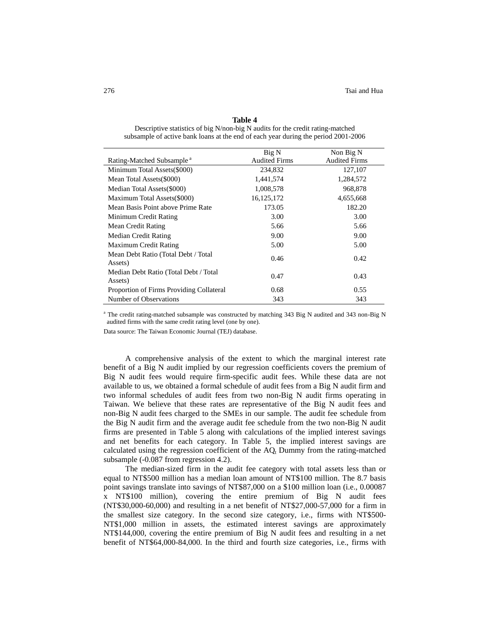| Table 4 |  |
|---------|--|
|---------|--|

Descriptive statistics of big N/non-big N audits for the credit rating-matched subsample of active bank loans at the end of each year during the period 2001-2006

|                                                  | Big N                | Non Big N            |
|--------------------------------------------------|----------------------|----------------------|
| Rating-Matched Subsample <sup>a</sup>            | <b>Audited Firms</b> | <b>Audited Firms</b> |
| Minimum Total Assets (\$000)                     | 234,832              | 127,107              |
| Mean Total Assets (\$000)                        | 1,441,574            | 1,284,572            |
| Median Total Assets (\$000)                      | 1,008,578            | 968,878              |
| Maximum Total Assets(\$000)                      | 16, 125, 172         | 4,655,668            |
| Mean Basis Point above Prime Rate                | 173.05               | 182.20               |
| Minimum Credit Rating                            | 3.00                 | 3.00                 |
| Mean Credit Rating                               | 5.66                 | 5.66                 |
| Median Credit Rating                             | 9.00                 | 9.00                 |
| Maximum Credit Rating                            | 5.00                 | 5.00                 |
| Mean Debt Ratio (Total Debt / Total<br>Assets)   | 0.46                 | 0.42                 |
| Median Debt Ratio (Total Debt / Total<br>Assets) | 0.47                 | 0.43                 |
| Proportion of Firms Providing Collateral         | 0.68                 | 0.55                 |
| Number of Observations                           | 343                  | 343                  |

<sup>a</sup> The credit rating-matched subsample was constructed by matching 343 Big N audited and 343 non-Big N audited firms with the same credit rating level (one by one).

Data source: The Taiwan Economic Journal (TEJ) database.

A comprehensive analysis of the extent to which the marginal interest rate benefit of a Big N audit implied by our regression coefficients covers the premium of Big N audit fees would require firm-specific audit fees. While these data are not available to us, we obtained a formal schedule of audit fees from a Big N audit firm and two informal schedules of audit fees from two non-Big N audit firms operating in Taiwan. We believe that these rates are representative of the Big N audit fees and non-Big N audit fees charged to the SMEs in our sample. The audit fee schedule from the Big N audit firm and the average audit fee schedule from the two non-Big N audit firms are presented in Table 5 along with calculations of the implied interest savings and net benefits for each category. In Table 5, the implied interest savings are calculated using the regression coefficient of the  $AQ_t$  Dummy from the rating-matched subsample (-0.087 from regression 4.2).

The median-sized firm in the audit fee category with total assets less than or equal to NT\$500 million has a median loan amount of NT\$100 million. The 8.7 basis point savings translate into savings of NT\$87,000 on a \$100 million loan (i.e., 0.00087 x NT\$100 million), covering the entire premium of Big N audit fees (NT\$30,000-60,000) and resulting in a net benefit of NT\$27,000-57,000 for a firm in the smallest size category. In the second size category, i.e., firms with NT\$500- NT\$1,000 million in assets, the estimated interest savings are approximately NT\$144,000, covering the entire premium of Big N audit fees and resulting in a net benefit of NT\$64,000-84,000. In the third and fourth size categories, i.e., firms with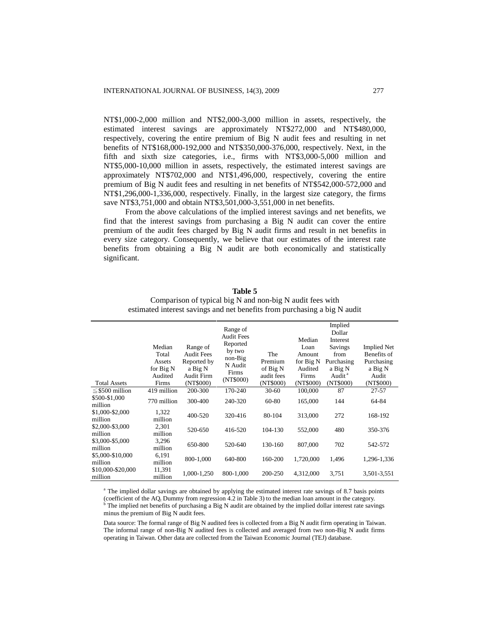NT\$1,000-2,000 million and NT\$2,000-3,000 million in assets, respectively, the estimated interest savings are approximately NT\$272,000 and NT\$480,000, respectively, covering the entire premium of Big N audit fees and resulting in net benefits of NT\$168,000-192,000 and NT\$350,000-376,000, respectively. Next, in the fifth and sixth size categories, i.e., firms with NT\$3,000-5,000 million and NT\$5,000-10,000 million in assets, respectively, the estimated interest savings are approximately NT\$702,000 and NT\$1,496,000, respectively, covering the entire premium of Big N audit fees and resulting in net benefits of NT\$542,000-572,000 and NT\$1,296,000-1,336,000, respectively. Finally, in the largest size category, the firms save NT\$3,751,000 and obtain NT\$3,501,000-3,551,000 in net benefits.

From the above calculations of the implied interest savings and net benefits, we find that the interest savings from purchasing a Big N audit can cover the entire premium of the audit fees charged by Big N audit firms and result in net benefits in every size category. Consequently, we believe that our estimates of the interest rate benefits from obtaining a Big N audit are both economically and statistically significant.

| <b>Total Assets</b>          | Median<br>Total<br>Assets<br>for Big N<br>Audited<br>Firms | Range of<br><b>Audit Fees</b><br>Reported by<br>a Big N<br>Audit Firm<br>(NT\$000) | Range of<br><b>Audit Fees</b><br>Reported<br>by two<br>non-Big<br>N Audit<br>Firms<br>(NT\$000) | The<br>Premium<br>of Big N<br>audit fees<br>(NT\$000) | Median<br>Loan<br>Amount<br>for Big N<br>Audited<br>Firms<br>(NT\$000) | Implied<br>Dollar<br>Interest<br>Savings<br>from<br>Purchasing<br>a Big N<br>Audit <sup>a</sup><br>(NT\$000) | <b>Implied Net</b><br>Benefits of<br>Purchasing<br>a Big N<br>Audit<br>(NT\$000) |
|------------------------------|------------------------------------------------------------|------------------------------------------------------------------------------------|-------------------------------------------------------------------------------------------------|-------------------------------------------------------|------------------------------------------------------------------------|--------------------------------------------------------------------------------------------------------------|----------------------------------------------------------------------------------|
| $\leq$ \$500 million         | 419 million                                                | 200-300                                                                            | 170-240                                                                                         | 30-60                                                 | 100,000                                                                | 87                                                                                                           | 27-57                                                                            |
| \$500-\$1,000<br>million     | 770 million                                                | 300-400                                                                            | 240-320                                                                                         | 60-80                                                 | 165,000                                                                | 144                                                                                                          | 64-84                                                                            |
| \$1,000-\$2,000<br>million   | 1,322<br>million                                           | 400-520                                                                            | 320-416                                                                                         | 80-104                                                | 313,000                                                                | 272                                                                                                          | 168-192                                                                          |
| \$2,000-\$3,000<br>million   | 2,301<br>million                                           | 520-650                                                                            | 416-520                                                                                         | 104-130                                               | 552,000                                                                | 480                                                                                                          | 350-376                                                                          |
| \$3,000-\$5,000<br>million   | 3,296<br>million                                           | 650-800                                                                            | 520-640                                                                                         | 130-160                                               | 807,000                                                                | 702                                                                                                          | 542-572                                                                          |
| \$5,000-\$10,000<br>million  | 6,191<br>million                                           | 800-1,000                                                                          | 640-800                                                                                         | 160-200                                               | 1,720,000                                                              | 1,496                                                                                                        | 1,296-1,336                                                                      |
| \$10,000-\$20,000<br>million | 11,391<br>million                                          | 1,000-1,250                                                                        | 800-1,000                                                                                       | 200-250                                               | 4,312,000                                                              | 3,751                                                                                                        | 3,501-3,551                                                                      |

**Table 5** Comparison of typical big N and non-big N audit fees with estimated interest savings and net benefits from purchasing a big N audit

<sup>a</sup> The implied dollar savings are obtained by applying the estimated interest rate savings of 8.7 basis points (coefficient of the AQ<sub>t</sub> Dummy from regression 4.2 in Table 3) to the median loan amount in the category. The implied net benefits of purchasing a Big N audit are obtained by the implied dollar interest rate savings minus the premium of Big N audit fees.

Data source: The formal range of Big N audited fees is collected from a Big N audit firm operating in Taiwan. The informal range of non-Big N audited fees is collected and averaged from two non-Big N audit firms operating in Taiwan. Other data are collected from the Taiwan Economic Journal (TEJ) database.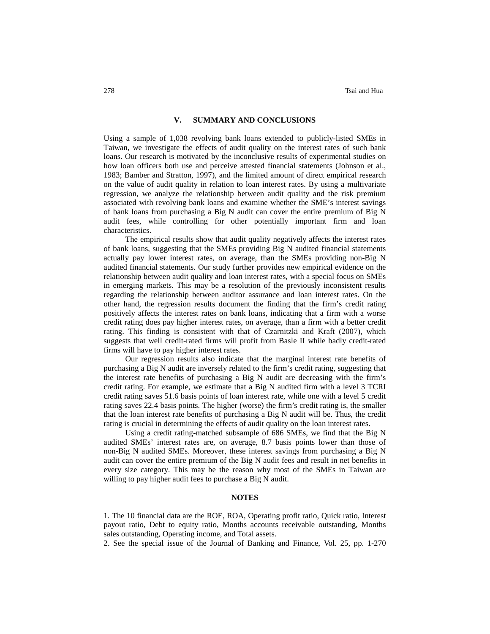### **V. SUMMARY AND CONCLUSIONS**

Using a sample of 1,038 revolving bank loans extended to publicly-listed SMEs in Taiwan, we investigate the effects of audit quality on the interest rates of such bank loans. Our research is motivated by the inconclusive results of experimental studies on how loan officers both use and perceive attested financial statements (Johnson et al., 1983; Bamber and Stratton, 1997), and the limited amount of direct empirical research on the value of audit quality in relation to loan interest rates. By using a multivariate regression, we analyze the relationship between audit quality and the risk premium associated with revolving bank loans and examine whether the SME's interest savings of bank loans from purchasing a Big N audit can cover the entire premium of Big N audit fees, while controlling for other potentially important firm and loan characteristics.

The empirical results show that audit quality negatively affects the interest rates of bank loans, suggesting that the SMEs providing Big N audited financial statements actually pay lower interest rates, on average, than the SMEs providing non-Big N audited financial statements. Our study further provides new empirical evidence on the relationship between audit quality and loan interest rates, with a special focus on SMEs in emerging markets. This may be a resolution of the previously inconsistent results regarding the relationship between auditor assurance and loan interest rates. On the other hand, the regression results document the finding that the firm's credit rating positively affects the interest rates on bank loans, indicating that a firm with a worse credit rating does pay higher interest rates, on average, than a firm with a better credit rating. This finding is consistent with that of Czarnitzki and Kraft (2007), which suggests that well credit-rated firms will profit from Basle II while badly credit-rated firms will have to pay higher interest rates.

Our regression results also indicate that the marginal interest rate benefits of purchasing a Big N audit are inversely related to the firm's credit rating, suggesting that the interest rate benefits of purchasing a Big N audit are decreasing with the firm's credit rating. For example, we estimate that a Big N audited firm with a level 3 TCRI credit rating saves 51.6 basis points of loan interest rate, while one with a level 5 credit rating saves 22.4 basis points. The higher (worse) the firm's credit rating is, the smaller that the loan interest rate benefits of purchasing a Big N audit will be. Thus, the credit rating is crucial in determining the effects of audit quality on the loan interest rates.

Using a credit rating-matched subsample of 686 SMEs, we find that the Big N audited SMEs' interest rates are, on average, 8.7 basis points lower than those of non-Big N audited SMEs. Moreover, these interest savings from purchasing a Big N audit can cover the entire premium of the Big N audit fees and result in net benefits in every size category. This may be the reason why most of the SMEs in Taiwan are willing to pay higher audit fees to purchase a Big N audit.

# **NOTES**

1. The 10 financial data are the ROE, ROA, Operating profit ratio, Quick ratio, Interest payout ratio, Debt to equity ratio, Months accounts receivable outstanding, Months sales outstanding, Operating income, and Total assets.

2. See the special issue of the Journal of Banking and Finance, Vol. 25, pp. 1-270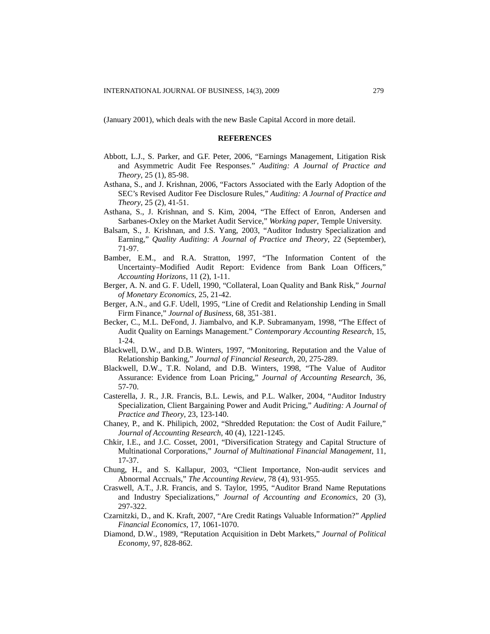(January 2001), which deals with the new Basle Capital Accord in more detail.

## **REFERENCES**

- Abbott, L.J., S. Parker, and G.F. Peter, 2006, "Earnings Management, Litigation Risk and Asymmetric Audit Fee Responses." *Auditing: A Journal of Practice and Theory*, 25 (1), 85-98.
- Asthana, S., and J. Krishnan, 2006, "Factors Associated with the Early Adoption of the SEC's Revised Auditor Fee Disclosure Rules," *Auditing: A Journal of Practice and Theory*, 25 (2), 41-51.
- Asthana, S., J. Krishnan, and S. Kim, 2004, "The Effect of Enron, Andersen and Sarbanes-Oxley on the Market Audit Service," *Working paper*, Temple University.
- Balsam, S., J. Krishnan, and J.S. Yang, 2003, "Auditor Industry Specialization and Earning," *Quality Auditing: A Journal of Practice and Theory*, 22 (September), 71-97.
- Bamber, E.M., and R.A. Stratton, 1997, "The Information Content of the Uncertainty–Modified Audit Report: Evidence from Bank Loan Officers," *Accounting Horizons*, 11 (2), 1-11.
- Berger, A. N. and G. F. Udell, 1990, "Collateral, Loan Quality and Bank Risk," *Journal of Monetary Economics*, 25, 21-42.
- Berger, A.N., and G.F. Udell, 1995, "Line of Credit and Relationship Lending in Small Firm Finance," *Journal of Business*, 68, 351-381.
- Becker, C., M.L. DeFond, J. Jiambalvo, and K.P. Subramanyam, 1998, "The Effect of Audit Quality on Earnings Management." *Contemporary Accounting Research*, 15, 1-24.
- Blackwell, D.W., and D.B. Winters, 1997, "Monitoring, Reputation and the Value of Relationship Banking," *Journal of Financial Research*, 20, 275-289.
- Blackwell, D.W., T.R. Noland, and D.B. Winters, 1998, "The Value of Auditor Assurance: Evidence from Loan Pricing," *Journal of Accounting Research*, 36, 57-70.
- Casterella, J. R., J.R. Francis, B.L. Lewis, and P.L. Walker, 2004, "Auditor Industry Specialization, Client Bargaining Power and Audit Pricing," *Auditing: A Journal of Practice and Theory*, 23, 123-140.
- Chaney, P., and K. Philipich, 2002, "Shredded Reputation: the Cost of Audit Failure," *Journal of Accounting Research*, 40 (4), 1221-1245.
- Chkir, I.E., and J.C. Cosset, 2001, "Diversification Strategy and Capital Structure of Multinational Corporations," *Journal of Multinational Financial Management*, 11, 17-37.
- Chung, H., and S. Kallapur, 2003, "Client Importance, Non-audit services and Abnormal Accruals," *The Accounting Review*, 78 (4), 931-955.
- Craswell, A.T., J.R. Francis, and S. Taylor, 1995, "Auditor Brand Name Reputations and Industry Specializations," *Journal of Accounting and Economics*, 20 (3), 297-322.
- Czarnitzki, D., and K. Kraft, 2007, "Are Credit Ratings Valuable Information?" *Applied Financial Economics*, 17, 1061-1070.
- Diamond, D.W., 1989, "Reputation Acquisition in Debt Markets," *Journal of Political Economy*, 97, 828-862.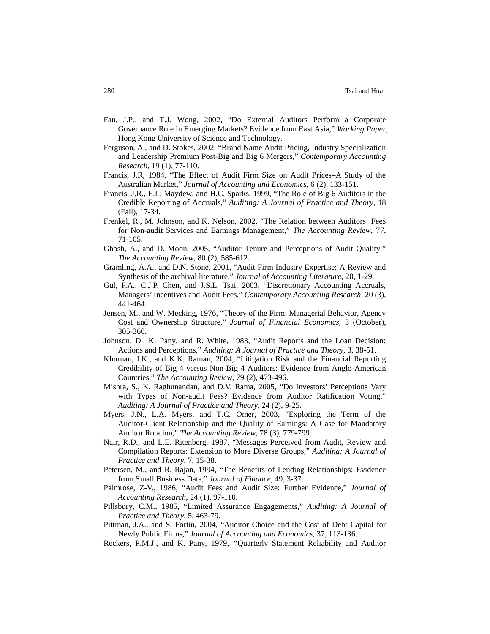- Fan, J.P., and T.J. Wong, 2002, "Do External Auditors Perform a Corporate Governance Role in Emerging Markets? Evidence from East Asia," *Working Paper*, Hong Kong University of Science and Technology.
- Ferguson, A., and D. Stokes, 2002, "Brand Name Audit Pricing, Industry Specialization and Leadership Premium Post-Big and Big 6 Mergers," *Contemporary Accounting Research*, 19 (1), 77-110.
- Francis, J.R, 1984, "The Effect of Audit Firm Size on Audit Prices–A Study of the Australian Market," *Journal of Accounting and Economics*, 6 (2), 133-151.
- Francis, J.R., E.L. Maydew, and H.C. Sparks, 1999, "The Role of Big 6 Auditors in the Credible Reporting of Accruals," *Auditing: A Journal of Practice and Theory*, 18 (Fall), 17-34.
- Frenkel, R., M. Johnson, and K. Nelson, 2002, "The Relation between Auditors' Fees for Non-audit Services and Earnings Management," *The Accounting Review*, 77, 71-105.
- Ghosh, A., and D. Moon, 2005, "Auditor Tenure and Perceptions of Audit Quality," *The Accounting Review*, 80 (2), 585-612.
- Gramling, A.A., and D.N. Stone, 2001, "Audit Firm Industry Expertise: A Review and Synthesis of the archival literature," *Journal of Accounting Literature*, 20, 1-29.
- Gul, F.A., C.J.P. Chen, and J.S.L. Tsai, 2003, "Discretionary Accounting Accruals, Managers' Incentives and Audit Fees." *Contemporary Accounting Research*, 20 (3), 441-464.
- Jensen, M., and W. Mecking, 1976, "Theory of the Firm: Managerial Behavior, Agency Cost and Ownership Structure," *Journal of Financial Economics*, 3 (October), 305-360.
- Johnson, D., K. Pany, and R. White, 1983, "Audit Reports and the Loan Decision: Actions and Perceptions," *Auditing: A Journal of Practice and Theory*, 3, 38-51.
- Khurnan, I.K., and K.K. Raman, 2004, "Litigation Risk and the Financial Reporting Credibility of Big 4 versus Non-Big 4 Auditors: Evidence from Anglo-American Countries," *The Accounting Review*, 79 (2), 473-496.
- Mishra, S., K. Raghunandan, and D.V. Rama, 2005, "Do Investors' Perceptions Vary with Types of Non-audit Fees? Evidence from Auditor Ratification Voting," *Auditing: A Journal of Practice and Theory*, 24 (2), 9-25.
- Myers, J.N., L.A. Myers, and T.C. Omer, 2003, "Exploring the Term of the Auditor-Client Relationship and the Quality of Earnings: A Case for Mandatory Auditor Rotation," *The Accounting Review*, 78 (3), 779-799.
- Nair, R.D., and L.E. Ritenberg, 1987, "Messages Perceived from Audit, Review and Compilation Reports: Extension to More Diverse Groups," *Auditing: A Journal of Practice and Theory*, 7, 15-38.
- Petersen, M., and R. Rajan, 1994, "The Benefits of Lending Relationships: Evidence from Small Business Data*,*" *Journal of Finance*, 49, 3-37.
- Palmrose, Z-V., 1986, "Audit Fees and Audit Size: Further Evidence," *Journal of Accounting Research*, 24 (1), 97-110.
- Pillsbury, C.M., 1985, "Limited Assurance Engagements," *Auditing: A Journal of Practice and Theory*, 5, 463-79.
- Pittman, J.A., and S. Fortin, 2004, "Auditor Choice and the Cost of Debt Capital for Newly Public Firms," *Journal of Accounting and Economics*, 37, 113-136.
- Reckers, P.M.J., and K. Pany, 1979, *"*Quarterly Statement Reliability and Auditor